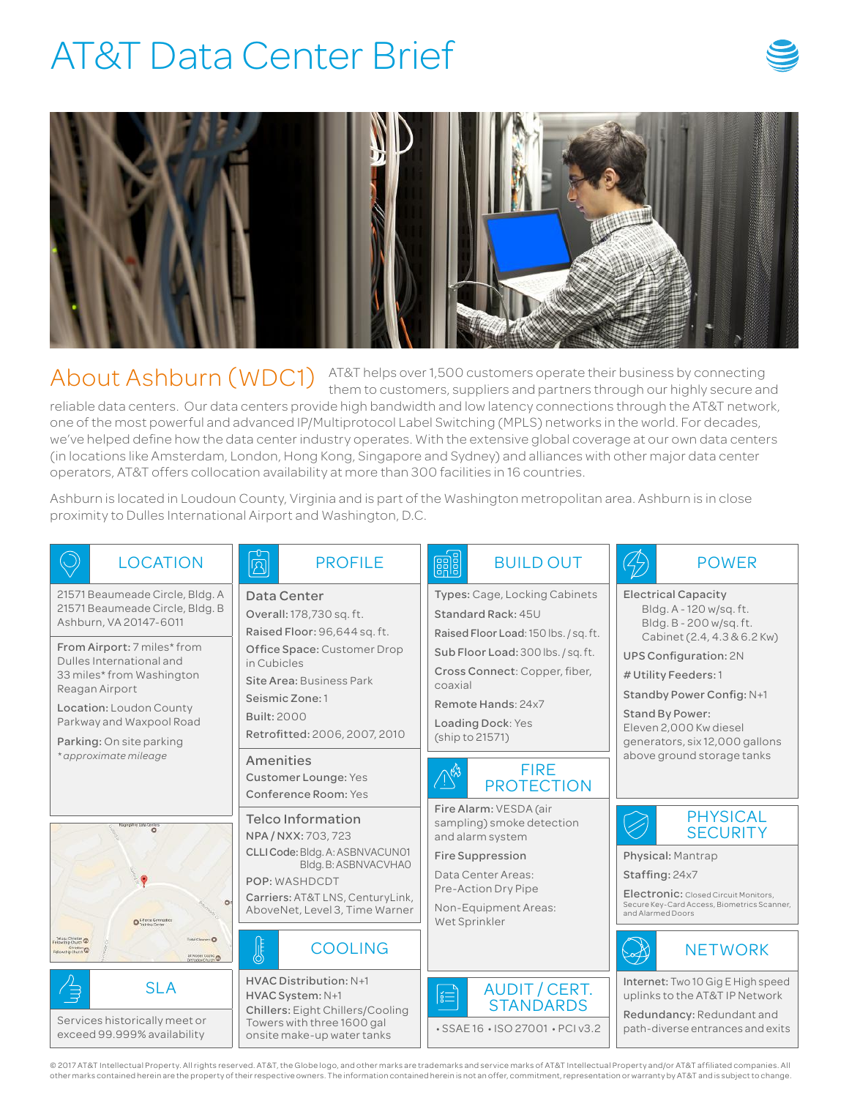## AT&T Data Center Brief





 $\bigwedge$  About Ashburn  $(WDC1)$   $^{AT&T}$  helps over 1,500 customers operate their business by connecting the  $^{T}$ them to customers, suppliers and partners through our highly secure and reliable data centers. Our data centers provide high bandwidth and low latency connections through the AT&T network, one of the most powerful and advanced IP/Multiprotocol Label Switching (MPLS) networks in the world. For decades, we've helped define how the data center industry operates. With the extensive global coverage at our own data centers (in locations like Amsterdam, London, Hong Kong, Singapore and Sydney) and alliances with other major data center operators, AT&T offers collocation availability at more than 300 facilities in 16 countries.

Ashburn is located in Loudoun County, Virginia and is part of the Washington metropolitan area. Ashburn is in close proximity to Dulles International Airport and Washington, D.C.

| <b>LOCATION</b>                                                                                                                                                                                                                                                                           | <b>PROFILE</b><br>$\boxtimes$                                                                                                                                                                                        | <b>eals</b><br><b>BUILD OUT</b>                                                                                                                                                                                                              | <b>POWER</b>                                                                                                                                                                                                                                                                               |
|-------------------------------------------------------------------------------------------------------------------------------------------------------------------------------------------------------------------------------------------------------------------------------------------|----------------------------------------------------------------------------------------------------------------------------------------------------------------------------------------------------------------------|----------------------------------------------------------------------------------------------------------------------------------------------------------------------------------------------------------------------------------------------|--------------------------------------------------------------------------------------------------------------------------------------------------------------------------------------------------------------------------------------------------------------------------------------------|
| 21571 Beaumeade Circle, Bldg. A<br>21571 Beaumeade Circle, Bldg. B<br>Ashburn, VA 20147-6011<br>From Airport: 7 miles* from<br>Dulles International and<br>33 miles* from Washington<br>Reagan Airport<br>Location: Loudon County<br>Parkway and Waxpool Road<br>Parking: On site parking | Data Center<br>Overall: 178,730 sq. ft.<br>Raised Floor: 96,644 sq. ft.<br>Office Space: Customer Drop<br>in Cubicles<br>Site Area: Business Park<br>Seismic Zone: 1<br>Built: 2000<br>Retrofitted: 2006, 2007, 2010 | Types: Cage, Locking Cabinets<br>Standard Rack: 45U<br>Raised Floor Load: 150 lbs. / sq. ft.<br>Sub Floor Load: 300 lbs. / sq. ft.<br>Cross Connect: Copper, fiber,<br>coaxial<br>Remote Hands: 24x7<br>Loading Dock: Yes<br>(ship to 21571) | <b>Electrical Capacity</b><br>Bldg. A - 120 w/sg. ft.<br>Bldg. B - 200 w/sq. ft.<br>Cabinet (2.4, 4.3 & 6.2 Kw)<br><b>UPS Configuration: 2N</b><br># Utility Feeders: 1<br>Standby Power Config: N+1<br><b>Stand By Power:</b><br>Eleven 2,000 Kw diesel<br>generators, six 12,000 gallons |
| * approximate mileage                                                                                                                                                                                                                                                                     | Amenities<br>Customer Lounge: Yes<br>Conference Room: Yes                                                                                                                                                            | <b>FIRE</b><br>New<br><b>PROTECTION</b>                                                                                                                                                                                                      | above ground storage tanks                                                                                                                                                                                                                                                                 |
| Raging Wins Data Centers<br>1<br>O Giforce Germanica                                                                                                                                                                                                                                      | Telco Information<br>NPA / NXX: 703, 723<br>CLLI Code: Bldg. A: ASBNVACUN01<br>Bldg.B: ASBNVACVHAO<br>POP: WASHDCDT<br>Carriers: AT&T LNS, CenturyLink,<br>AboveNet, Level 3, Time Warner                            | Fire Alarm: VESDA (air<br>sampling) smoke detection<br>and alarm system<br><b>Fire Suppression</b><br>Data Center Areas:<br>Pre-Action Dry Pipe<br>Non-Equipment Areas:<br>Wet Sprinkler                                                     | <b>PHYSICAL</b><br><b>SECURITY</b><br>Physical: Mantrap<br>Staffing: 24x7<br>Electronic: Closed Circuit Monitors,<br>Secure Key-Card Access, Biometrics Scanner,<br>and Alarmed Doors                                                                                                      |
| Telagui Christian<br>elipwatep Church<br>Total Cleaners (D)<br>Christian <sub>(D)</sub><br>St Mones Copic (D)                                                                                                                                                                             | <b>COOLING</b>                                                                                                                                                                                                       |                                                                                                                                                                                                                                              | <b>NETWORK</b>                                                                                                                                                                                                                                                                             |
| <b>SLA</b><br>信<br>Services historically meet or<br>exceed 99.999% availability                                                                                                                                                                                                           | HVAC Distribution: N+1<br>HVAC System: N+1<br><b>Chillers: Eight Chillers/Cooling</b><br>Towers with three 1600 gal<br>onsite make-up water tanks                                                                    | AUDIT / CERT.<br>$ \H := \}$<br><b>STANDARDS</b><br>• SSAE 16 • ISO 27001 • PCI v3.2                                                                                                                                                         | Internet: Two 10 Gig E High speed<br>uplinks to the AT&T IP Network<br>Redundancy: Redundant and<br>path-diverse entrances and exits                                                                                                                                                       |

© 2017 AT&T Intellectual Property. All rights reserved. AT&T, the Globe logo, and other marks are trademarks and service marks of AT&T Intellectual Property and/or AT&T affiliated companies. All other marks contained herein are the property of their respective owners. The information contained herein is not an offer, commitment, representation or warranty by AT&T and is subject to change.